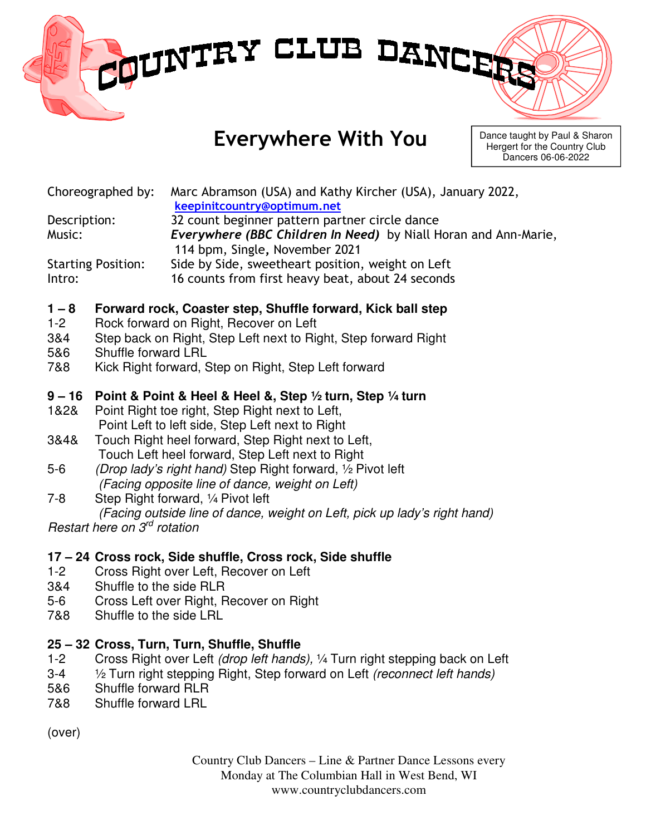# MUNTRY CLUB DANCE

# Everywhere With You

Dance taught by Paul & Sharon Hergert for the Country Club Dancers 06-06-2022

Choreographed by: Marc Abramson (USA) and Kathy Kircher (USA), January 2022,

keepinitcountry@optimum.net

Description: 32 count beginner pattern partner circle dance Music: Everywhere (BBC Children In Need) by Niall Horan and Ann-Marie, 114 bpm, Single, November 2021

Starting Position: Side by Side, sweetheart position, weight on Left Intro: 16 counts from first heavy beat, about 24 seconds

### **1 – 8 Forward rock, Coaster step, Shuffle forward, Kick ball step**

- 1-2 Rock forward on Right, Recover on Left
- 3&4 Step back on Right, Step Left next to Right, Step forward Right
- 5&6 Shuffle forward LRL
- 7&8 Kick Right forward, Step on Right, Step Left forward

### **9 – 16 Point & Point & Heel & Heel &, Step ½ turn, Step ¼ turn**

- 1&2& Point Right toe right, Step Right next to Left, Point Left to left side, Step Left next to Right
- 3&4& Touch Right heel forward, Step Right next to Left, Touch Left heel forward, Step Left next to Right
- 5-6 (Drop lady's right hand) Step Right forward, ½ Pivot left (Facing opposite line of dance, weight on Left)
- 7-8 Step Right forward, ¼ Pivot left (Facing outside line of dance, weight on Left, pick up lady's right hand) Restart here on 3<sup>rd</sup> rotation

## **17 – 24 Cross rock, Side shuffle, Cross rock, Side shuffle**

- 1-2 Cross Right over Left, Recover on Left
- 3&4 Shuffle to the side RLR
- 5-6 Cross Left over Right, Recover on Right
- 7&8 Shuffle to the side LRL

### **25 – 32 Cross, Turn, Turn, Shuffle, Shuffle**

- 1-2 Cross Right over Left (drop left hands), ¼ Turn right stepping back on Left
- 3-4  $\frac{1}{2}$  Turn right stepping Right, Step forward on Left *(reconnect left hands)*
- 5&6 Shuffle forward RLR
- 7&8 Shuffle forward LRL

(over)

Country Club Dancers – Line & Partner Dance Lessons every Monday at The Columbian Hall in West Bend, WI www.countryclubdancers.com